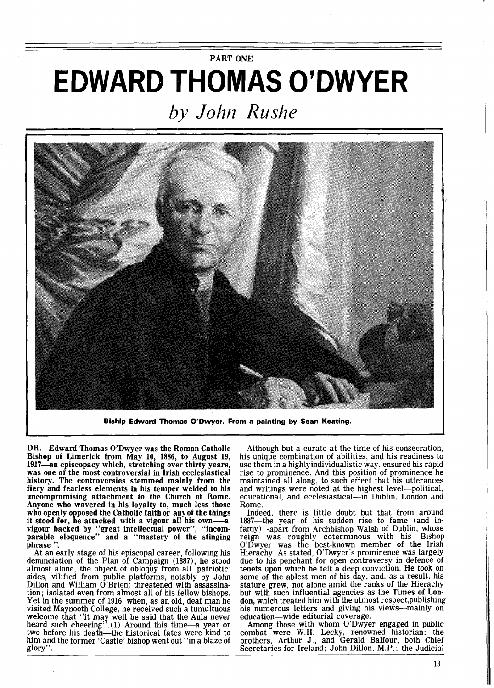## PART ONE **EDWARD THOMAS O'DWYER**

*by John Rushe* 



**Biship Edward Thomas O'Dwyer. From a painting by Sean Keating.** 

DR. Edward Thomas O'Dwyer was the Roman Catholic Bishop of Limerick from May 10, 1886, to August 19, 1917-an episcopacy which, stretching over thirty years, was one of the most controversial in Irish ecclesiastical history. The controversies stemmed mainly from the fiery and fearless elements in his temper welded to his uncompromising attachment to the Church of Rome. Anyone who wavered in his loyalty to, much less those who openly opposed the Catholic faith or any of the things it stood for, he attacked with a vigour all his own- $-\tilde{a}$ vigour backed by "great intellectual power", "incomparable eloquence" and a "mastery of the stinging phrase '

At an early stage of his episcopal career, following his denunciation of the Plan of Campaign (1887), he stood almost alone, the object of obloquy from all 'patriotic'<br>sides, vilified from public platforms, notably by John Dillon and William O'Brien; threatened with assassination; isolated even from almost all of his fellow bishops. Yet in the summer of 1916, when, as an old, deaf man he visited Maynooth College, he received such a tumultuous welcome that "it may well be said that the Aula never heard such cheering".(1) Around this time-a year or two before his death—the historical fates were kind to him and the former 'Castle' bishop went out "in a blaze of glory".

Although but a curate at the time of his consecration, his unique combination of abilities, and his readiness to use them in a highlyindividualistic way, ensured his rapid rise to prominence. And this position of prominence he maintained all along, to such effect that his utterances and writings were noted at the highest level—political, educational, and ecclesiastical-in Dublin, London and Rome.

Indeed, there is little doubt but that from around 1887-the year of his sudden rise to fame (and infamy) -apart from Archbishop Walsh of Dublin, whose reign was roughly coterminous with his—Bisho O'Dwyer was the best-known member of the Irish Hierachy. As stated, O'Dwyer's prominence was largely due to his penchant for open controversy in defence of tenets upon which he felt a deep conviction. He took on some of the ablest men of his day, and, as a result, his stature grew, not alone amid the ranks of the Hierachy but with such influential agencies as the Times of London, which treated him with the utmost respect.publishing<br>his numerous letters and giving his views—mainly on education-wide editorial coverage.

Among those with whom O'Dwyer engaged in public combat were W.H. Lecky, renowned historian: the brothers, Arthur J., and Gerald Balfour, both Chief Secretaries for Ireland; John Dillon, M.P.; the Judicial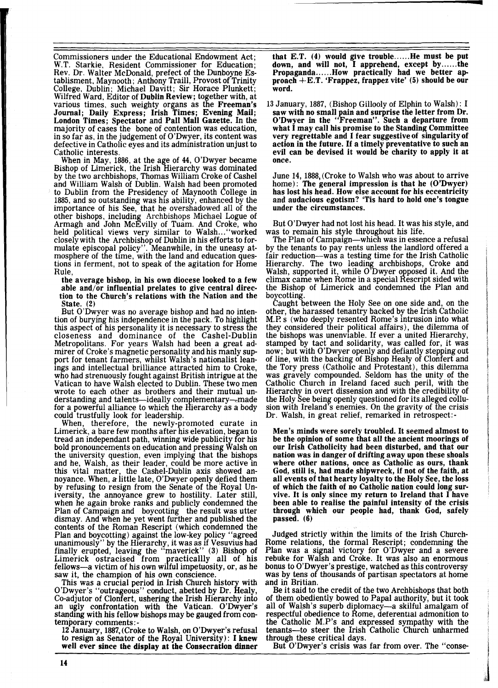Commissioners under the Educational Endowment Act; W.T. Starkie, Resident Commissioner for Education; Rev. Dr. Walter McDonald, prefect of the Dunboyne Establisment, Maynooth ; Anthony Traill, Provost of Trinity College, Dublin; Michael Davitt; Sir Horace Plunkett; Wilfred Ward, Editor of Dublin Review; together with, at various times, such weighty organs as the Freeman's Journal; Daily Express; Irish Times; Evening Mail; London Times; Spectator and Pall Mall Gazette. In the majority of cases the bone of contention was education, in so far as, in the judgement of O'Dwyer, its content was defective in Catholic eyes and its administration unjust to Catholic interests.

When in May, 1886, at the age of 44, O'Dwyer became Bishop of Limerick, the Irish Hierarchy was dominated by the two archbishops, Thomas William Croke of Cashel and William Walsh of Dublin. Walsh had been promoted to Dublin from the Presidency of Maynooth College in 1885, and so outstanding was his ability, enhanced by the importance of his See, that he overshadowed all of the other bishops, including Archbishops Michael Logue of Armagh and John McEvilly of Tuam. And Croke, who held political views very similar to Walsh.. . "worked closelywith the Archbishop of Dublin in his efforts to formulate episcopal policy". Meanwhile, in the uneasy atmosphere of the time, with the land and education ques- tions in ferment, not to speak of the agitation for Home Rule,

the average bishop, in his own diocese looked to a few able and/or influential prelates to give central direction to the Church's relations with the Nation and the State.  $(2)$ 

State. (2)<br>But O'Dwyer was no average bishop and had no inten-<br>tion of burying his independence in the pack. To highlight this aspect of his personality it is necessary to stress the closeness and dominance of the Cashel-Dublin Metropolitans. For years Walsh had been a great admirer of Croke's magnetic personality and his manly support for tenant farmers, whilst Walsh's nationalist leanings and intellectual brilliance attracted him to Croke, who had strenuously fought against British intrigue at the Vatican to have Walsh elected to Dublin. These two men wrote to each other as brothers and their mutual understanding and talents—ideally complementary—made for a powerful alliance to which the Hierarchy as a body could trustfully look for leadership. When, therefore, the newly-promoted curate in Limerick, a bare few months af

tread an independant path, winning wide publicity for his bold pronouncements on education and pressing **W** alsh on the university question, even implying that the bishops and he, Walsh, as their leader, could be more active in this vital matter, the Cashel-Dublin axis showed annoyance. When, a little late, O'Dwyer openly defied them by refusing to resign from the Senate of the 'Royal University, the annoyance grew to hostility. Later still, when he again broke ranks and publicly condemned the Plan of Campaign and boycotting the result was utter dismay. And when he yet went further and published the contents of the Roman Rescript (which condemned the Plan and boycotting) against the low-key policy "agreed Plan and boycotting) against the low-key policy "agreed unanimously" by the Hierarchy, it was as if Vesuvius had finally erupted, leaving the "maverick" (3) Bishop of<br>Limerick ostracised from practicallly all of his fellows-a victim of his own wilful impetuosity, or, as he saw it, the champion of his own conscience.

This was a crucial period in Irish Church history with O'Dwyer's "outrageous" conduct, abetted by Dr. Healy, Co-adjutor of Clonfert, ushering the Irish Hierarchy into an ugly confrontation with the Vatican. O'Dwyer's standing with his fellow bishops may be gauged from contemporary comments : -

12 January, 1887, (Croke to Walsh, on O'Dwyer's refusal to resign as Senator of the Royal University): I knew well ever since the display at the Consecration dinner that E.T. **(4)** would give trouble ...... He must be put down, and will not, I apprehend, except by ...... the Propaganda......How practically had we better approach + E.T. 'Frappez, frappez vite' (5) should be our word.

13 January, 1887, (Bishop Gillooly of Elphin to Walsh): I saw with no small pain and surprise the letter from Dr. O'Dwyer in the "Freeman". Such a departure from what I may call his promise to the Standing Committee very regrettable and I fear suggestive of singularity of action in the future. If a timely preventative to such an evil can be devised it would be charity to apply it at once.

June 14, 1888, (Croke to Walsh who was about to arrive home): The general impression is that he (O'Dwyer) has lost his head. How else account for his eccentricity and audacious egotism? 'Tis hard to hold one's tongue under the circumstances.

But O'Dwyer had not lost his head. It was his style, and was to remain his style throughout his life.

The Plan of Campaign—which was in essence a refusal by the tenants to pay rents unless the landlord offered a fair reduction--was a testing time for the Irish Catholic Hierarchy. The two leading archbishops, Croke and Walsh, supported it, while O'Dwyer opposed it. And the climax came when Rome in a special Rescript sided with the Bishop of Limerick and condemned the Plan and boycotting.

Caught between the Holy See on one side and, on the other, the harassed tenantry backed by the Irish Catholic  $M.P.s$  (who deeply resented Rome's intrusion into what they considered their political affairs), the dilemma of the bishops was unenviable. If ever a united Hierarchy, stamped by tact and solidarity, was called for, it was now; but with O'Dwyer openly and defiantly stepping out of line, with the backing of Bishop Healy of Clonfert and the Tory press (Catholic and Protestant), this dilemma was gravely compounded. Seldom has the unity of the Catholic Church in Ireland faced such peril, with the Hierarchy in overt dissension and with the credibility of the Holy See being openly questioned for its alleged collusion with Ireland's enemies. On the gravity of the crisis Dr. Walsh, in great relief, remarked in retrospect:-

Men's minds were sorely troubled. It seemed almost to be the opinion of some that all the ancient moorings of our Irish Catholicity had been disturbed, and that our nation was in danger of drifting away upon these shoals where other nations, once as Catholic as ours, thank God, still is, had made shipwreck, if not of the faith, at all events of that hearty loyalty to the Holy See, the loss of which the faith of no Catholic nation could long survive. It is only since my return to Ireland that I have been able to realise the painful intensity of the crisis through which our people had, thank God, safely passed. (6)

Judged strictly within the limits of the Irish Church-Rome relations, the formal Rescript; condemning the Plan was a signal victory for O'Dwyer and a severe rebuke for Walsh and Croke. It was also an enormous bonus to O'Dwyer's prestige, watched as this controversy was by tens of thousands of partisan spectators at home and in Britian.

Be it said to the credit of the two Archbishops that both of them obediently bowed to Papal authority, but it took all of Walsh's superb diplomacy—a skilful amalgam of respectful obedience to Rome, deterential admonition to the Catholic M.P's and expressed sympathy with the tenants—to steer the Irish Catholic Church unharmed through these critical days.

But O'Dwyer's crisis was far from over. The "conse-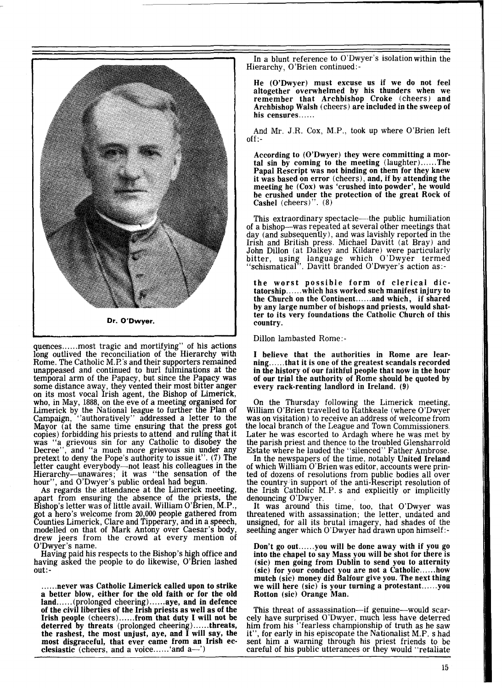

quences.. ... .most tragic and mortifying" of his actions long outlived the reconciliation of the Hierarchy with Rome. The Catholic M.P.'s and their supporters remained unappeased and continued to hurl fulminations at the temporal arm of the Papacy, but since the Papacy was some distance away, they vented their most bitter anger on its most vocal Irish agent, the Bishop of Limerick, who, in May, 1888, on the eve of a meeting organised for Limerick by the National league to further the Plan of Campaign, "authora tively " addressed a letter to the Mayor (at the same time ensuring that the press got copies) forbidding his priests to attend and ruling that it was "a grievous sin for any Catholic to disobey the Decree", and "a much more grievous sin under any and "a much more grievous sin under any pretext to deny the Pope's authority to issue it". **(7)** The letter caught everybody—not least his colleagues in the Hierarchy-unawares ; it was "the sensation of the

hour", and O'Dwyer's public ordeal had begun. As regards the attendance at the Limerick meeting, apart from ensuring the absence of the priests, the Bishop's letter was of little avail. William O'Brien, M.P., got a hero's welcome from 20,000 people gathered from Counties Limerick, Clare and Tipperary, and in a speech, modelled on that of Mark Antony over Caesar's body, drew jeers from the crowd at every mention of O'Dwyer's name.

Having paid his respects to the Bishop's high office and having asked the people to do likewise, O'Brien lashed out:-

..... .never was Catholic Limerick called upon to strike a better blow, either for the old faith or for the old land...... (prolonged cheering)......aye, and in defence of the civil liberties of the Irish priests as well as of the Irish people (cheers). .... .from that duty I will not be deterred by threats (prolonged cheering). ..... threats, the rashest, the most unjust, aye, and I will say, the most disgraceful, that ever came from an Irish ecclesiastic (cheers, and a voice...... 'and  $a$ —')

In a blunt reference to O'Dwyer's isolationwithin the Hierarchy, O'Brien continued: -

He (O'Dwyer) must excuse us if we do not feel altogether overwhelmed by his thunders when we remember that Archbishop Croke (cheers) and Archbishop Walsh (cheers) are included in the sweep of his censures......

And Mr. J.R. Cox, M.P., took up where O'Brien left off:-

According to (O'Dwyer) they were committing a mor- tal sin by coming to the meeting (laughter). .... .The Papal Rescript was not binding on them for they knew it was based on error (cheers), and, if by attending the meeting he (Cox) was 'crushed into powder', he would be crushed under the protection of the great Rock of Cashel (cheers)". (8)

This extraordinary spectacle—-the public humiliation of a bishop—was repeated at several other meetings that of a bishop-was repeated at several other meetings that day (and subsequently), and was lavishly reported in the Irish and British press. Michael Davitt (at Bray) and John Dillon (at Dalkey and Kildare) were particularly bitter, using language which O'Dwyer termed "schismatical". Davitt branded O'Dwyer's action as:-

the worst possible form of clerical dictatorship.. ... .which has worked such manifest injury to the Church on the Continent.. .. ..and which, if shared by any large number of bishops and priests, would shatter to its very foundations the Catholic Church of this country.

Dillon lambasted Rome:-

I believe that the authorities in Rome are learning.. .... that it is one of the greatest scandals recorded in the history of our faithful people that now in the hour of our trial the authority of Rome should be quoted by every rack-renting landlord in Ireland. (9)

On the Thursday following the Limerick meeting, William O'Brien travelled to Rathkeale (where O'Dwyer was on visitation) to receive an address of welcome from the local branch of the League and Town Commissioners. Later he was escorted to Ardagh where he was met by the parish priest and thence to the troubled Glensharrold Estate where he lauded the "silenced" Father Ambrose.

In the newspapers of the time, notably United Ireland<br>of which William O'Brien was editor, accounts were prinof which William O'Brien was editor, accounts were prin- ted of dozens of resolutions from public bodies all over the country in support of the anti-Rescript resolution of the Irish Catholic M.P. S and explicitly or implicitly denouncing O'Dwyer.

It was around this time, too, that O'Dwyer was threatened with assassination; the letter, undated and unsigned, for all its brutal imagery, had shades of the seething anger which O'Dwyer had drawn upon himself:-

Don't go out......you will be done away with if you go into the chapel to say Mass you will be shot for there is (sic) men going from Dublin to send you to atternity (sic) for your conduct you are not a Catholic...... how mutch (sic) money did Balfour give you. The next thing we will here (sic) is your turning a protestant......you Rotton (sic) Orange Man.

This threat of assassination--if genuine--would scarcely have surprised O'Dwyer, much less have deterred him from his "fearless championship of truth as he saw it", for early in his episcopate the Nationalist M.F. S had sent him a warning through his priest friends to be careful of his public utterances or they would "retaliate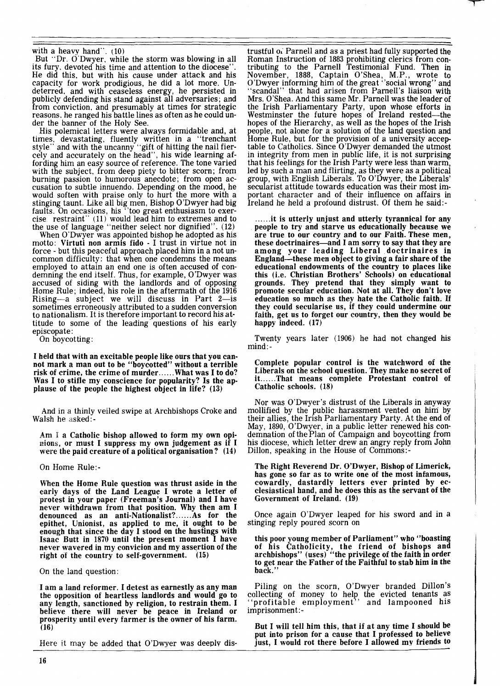### with a heavy hand". (10)

But "Dr. O'Dwyer, while the storm was blowing in all its fury, devoted his time and attention to the diocese' He did this, but with his cause under attack and his capacity for work prodigious, he did a lot more. Undeterred. and with ceaseless energy, he persisted in publicly defending his stand against all adversaries; and from conviction, and presumably at times for strategic reasons, he ranged his battle lines as often as he could under the banner of the Holy See.

His polemical letters were always formidable and, at times, devastating, fluently written in a "trenchant style" and with the uncanny "gift of hitting the nail fiercely and accurately on the head", his wide learning affording him an easy source of reference. The tone varied with the subject, from deep piety to bitter scorn; from burning passion to humorous anecdote; from open accusation to subtle innuendo. Depending on the mood, he would soften with praise only to hurt the more with a stinging taunt. Like all big men, Bishop O'Dwyer had big faults. On occasions, his "too great enthusiasm to exercise restraint" (11) would lead him to extremes and to the use of language "neither select nor dignified". (12)

When O'Dwyer was appointed bishop he adopted as his motto: Virtuti non armis fido - I trust in virtue not in force - but this peaceful approach placed him in a not uncommon difficulty: that when one condemns the means employed to attain an end one is often accused of condemning the end itself. Thus, for example, O'Dwyer was accused of siding with the landlords and of opposing Home Rule; indeed, his role in the aftermath of the 1916 Rising-a subject we will discuss in Part 2-is sometimes erroneously attributed to a sudden conversion to nationalism. It is therefore important to record his attitude to some of the leading-questions of his early episcopate :

On boycotting :

I held that with an excitable people like ours that you cannot mark a man out to be "boycotted" without a terrible risk of crime, the crime of murder......What was I to do? Was I to stifle my conscience for popularity? Is the applause of the people the highest object in life? (13)

And in a thinly veiled swipe at Archbishops Croke and Walsh he asked:-

Am I a Catholic bishop allowed to form my own opinions, or must I suppress my own judgement as if I were the paid creature of a political organisation ? (14)

On Home Rule:-

When the Home Rule question was thrust aside in the early days of the Land League I wrote a letter of protest in your paper (Freeman's Journal) and I have never withdrawn from that position. Why then am I denounced as an anti-Nationalist?......As for the epithet, Unionist, as applied to me, it ought to be enough that since the day I stood on the hustings with Isaac Butt in 1870 until the present moment I have never wavered in my convicion and my assertion of the right of the country to self-government. (15)

On the land question

I am a land reformer. I detest as earnestly as any man the opposition of heartless landlords and would go to any length, sanctioned by religion, to restrain them. I believe there will never be peace in Ireland or prosperity until every farmer is the owner of his farm. (16)

Here it may be added that O'Dwyer was deeply dis-

trustful o; Parnell and as a priest had fully supported the<br>Roman Instruction of 1883 prohibiting clerics from contributing to the Parnell Testimonial Fund. Then in November, 1888, Captain O'Shea, M.P., wrote to O'Dwyer informing him of the great "social wrong" and "scandal" that had arisen from Parnell's liaison with Mrs. O'Shea. And this same Mr. Parnell was the leader of the Irish Parliamentary Party, upon whose efforts in Westminster the future hopes of Ireland rested—tl hopes of the Hierarchy, as well as the hopes of the Irish people, not alone for a solution of the land question and Home Rule, but for the provision of a university acceptable to Catholics. Since O'Dwyer demanded the utmost in integrity from men in public life, it is not surprising that his feelings for the Irish Party were less than warm, led by such a man and flirting, as they were as a political group, with English Liberals. To O'Dwyer, the Liberals' secularist attitude towards education was their most important character and of their influence on affairs in Ireland he held a profound distrust. Of them he said:-

.....it is utterly unjust and utterly tyrannical for any people to try and starve us educationally because we are true to our country and to our Faith. These men, these doctrinaires—and I am sorry to say that they are among your leading Liberal doctrinaires in England-these men object to giving a fair share of the educational endowments of the country to places like this (i.e. Christian Brothers' Schools) on educational grounds. They pretend that they simply want to promote secular education. Not at all. They don't love education so much as they hate the Catholic faith, If they could secularise us, if they could undermine our faith, get us to forget our country, then they would be happy indeed. (17)

Twenty years later (1906) he had not changed his  $mind$  : -

Complete popular control is the watchword of the Liberals on the school question. They make no secret of it......That means complete Protestant control of Catholic schools. (18)

Nor was O'Dwyer's distrust of the Liberals in anyway mollified by the public harassment vented on him by their allies, the Irish Parliamentary Party. At the end of May, 1890, O'Dwyer, in a public letter renewed his condemnation of the Plan of Campaign and boycotting from his diocese, which letter drew an angry reply from John Dillon, speaking in the House of Commons:-

The Right Reverend Dr. O'Dwyer, Bishop of Limerick, has gone so far as to write one of the most infamous, cowardly, dastardly letters ever printed by ecclesiastical hand, and he does this as the servant of the Government of Ireland. (19)

Once again O'Dwyer leaped for his sword and in a stinging reply poured scorn on

this poor young member of Parliament" who "boasting of his Catholicity, the friend of bishops and archbishops" (uses) "the privilege of the faith in order to get near the Father of the Faithful to stab him in the back."

Piling on the scorn, O'Dwyer branded Dillon's collecting of money to help the evicted tenants as "profitable employment" and lampooned his imprisonment : -

But I will tell him this, that if at any time I should be put into prison for a cause that I professed to believe just, I would rot there before I allowed my friends to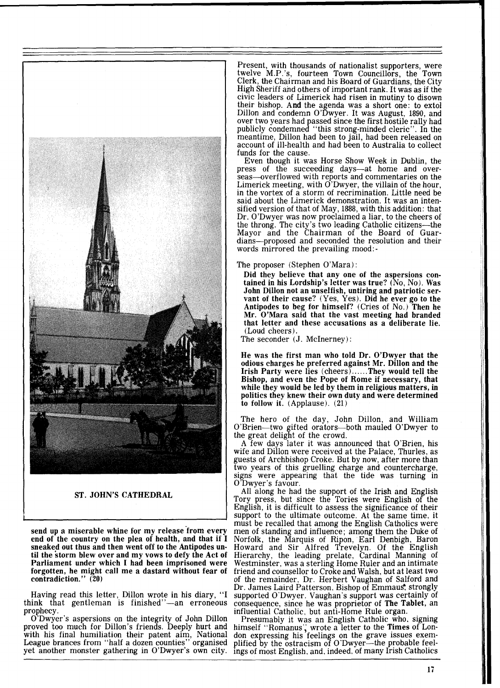

#### ST. JOHN'S CATHEDRAL

prophecy.<br>O'Dwyer's aspersions on the integrity of John Dillon Presumably it was an English Catholic who, signing<br>proved too much for Dillon's friends. Deeply hurt and himself "Romanus", wrote a letter to the **Times** of Lo with his final humiliation their patent aim, National don expressing his feelings on the grave issues exemwith his final humiliation their patent aim, National don expressing his feelings on the grave issues exem-<br>League brances from "half a dozen counties" organised plified by the ostracism of O'Dwyer--the probable feel-<br>yet

Present, with thousands of nationalist supporters, were twelve M.P.'s, fourteen Town Councillors, the Town Clerk, the Chairman and his Board of Guardians, the City High Sheriff and others of important rank. It was as if the civic leaders of Limerick had risen in mutiny to disown their bishop. And the agenda was a short one: to extol Dillon and condemn O'Dwyer. It was August, 1890, and over two years had passed since the first hostile rally had publicly condemned "this strong-minded cleric". In the meantime, Dillon had been to jail, had been released on account of ill-health and had been to Australia to collect funds for the cause.

Even though it was Horse Show Week in Dublin, the press of the succeeding days-at home and overseas-overflowed with reports and commentaries on the Limerick meeting, with  $\overrightarrow{O}$ 'Dwyer, the villain of the hour, in the vortex of a storm of recrimination. Little need be said about the Limerick demonstration. It was an intensified version of that of May, 1888, with this addition: that Dr. O'Dwyer was now proclaimed a liar, to the cheers of the throng. The city's two leading Catholic citizens—th Mayor and the Chairman of the Board of Guardians-proposed and seconded the resolution and their words mirrored the prevailing mood: -

#### The proposer (Stephen O'Mara) :

Did they believe that any one of the aspersions contained in his Lordship's letter was true? (No, No). Was John Dillon not an unselfish, untiring and patriotic servant of their cause? (Yes, Yes). Did he ever go to the Antipodes to beg for himself? (Cries of No.) Then he Mr. O'Mara said that the vast meeting had branded that letter and these accusations as a deliberate lie. (Loud cheers).

The seconder (J. McInerney):

He was the first man who told Dr. O'Dwyer that the odious charges he preferred against Mr. Dillon and the Irish Party were lies (cheers)......They would tell the Bishop, and even the Pope of Rome if necessary, that while they would be led by them in religious matters, **in**  politics they knew their own duty and were determined to follow it. (Applause). (21)

The hero of the day, John Dillon, and William O'Brien-two gifted orators-both mauled O'Dwyer to the great delight of the crowd.

A few days later it was announced that O'Brien, his wife and Dillon were received at the Palace, Thurles, as guests of Archbishop Croke. But by now, after more than two years of this gruelling charge and countercharge, signs were appearing that the tide was turning in O'Dwyer 'S favour.

All along he had the support of the Irish and English Tory press, but since the Tories were English of the English, it is difficult to assess the significance of their support to the ultimate outcome. At the same time, it must be recalled that amone the English Catholics were send up a miserable whine for my release from every men of standing and influence; among them the Duke of end of the country on the plea of health, and that if I Norfolk, the Marquis of Ripon, Earl Denbigh, Baron end of the country on the plea of health, and that if I Norfolk, the Marquis of Ripon, Earl Denbigh, Baron sneaked out thus and then went off to the Antipodes un- Howard and Sir Alfred Trevelyn. Of the English til the storm blew over and my vows to defy the Act of Hierarchy, the leading prelate, Cardinal Manning of Parliament under which I had been imprisoned were Westminster, was a sterling Home Ruler and an intimate forgotten, he might call me a dastard without fear of friend and counsellor to Croke and Walsh, but at least two contradiction.'' (20) of the remainder, Dr. Herbert Vaughan of Salford and<br>Dr. James Laird Patterson, Bishop of Emmaus, strongly<br>Having read this letter, Dillon wrote in his diary, ''I supported O'Dwyer. Vaughan's support Having read this letter, Dillon wrote in his diary, "I supported O'Dwyer. Vaughan's support was certainly of think that gentleman is finished"—an erroneous consequence, since he was proprietor of The Tablet, an prophecy.<br>i

ings of most English, and, indeed, of many Irish Catholics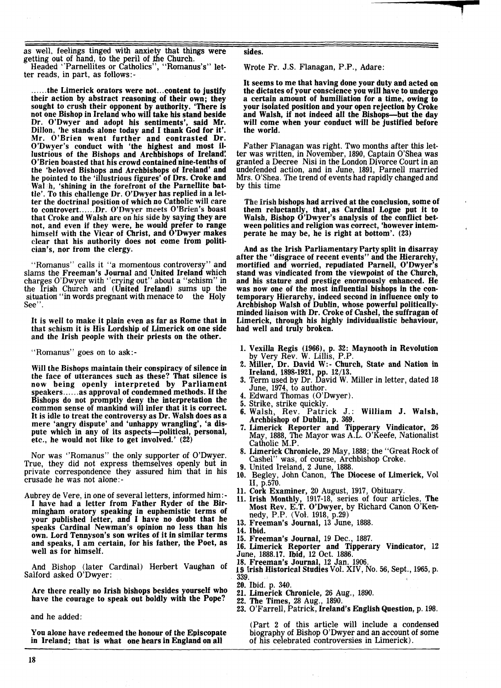as well, feelings tinged with anxiety that things were getting out of hand, to the peril of the Church.

Headed "Parnellites or Catholics", "Romanus's" letter reads, in part, as follows:-

......the Limerick orators were not...content to justify their action by abstract reasoning of their own; they sought to crush their opponent by authority. 'There is not one Bishop in Ireland who will take his stand beside Dr. O'Dwyer and adopt his sentiments', said Mr. Dillon, 'he stands alone today and I thank God for it'. Mr. O'Brien went further and contrasted Dr. O'Dwyer's conduct with 'the highest and most illustrious of the Bishops and Archbishops of Ireland: O'Brien boasted that his crowd contained nine-tenths of the 'beloved Bishops and Archbishops of Ireland' and he pointed to the 'illustrious figures' of Drs. Croke and Walsh, 'shining in the forefront of the Parnellite battle'. To this challenge Dr. O'Dwyer has replied in a letto controvert......Dr. O'Dwyer meets O'Brien's boast that Croke and Walsh are on his side by saying they are not, and even if they were, he would prefer to range himself with the Vicar of Christ, and O'Dwyer makes dear that his authority does not come from politi- cian's, nor from the clergy.

"Romanus" calls it "a momentous controversy" and slams the Freeman's Journal and United Ireland which charges O'Dwyer with "crying out" about a "schism" in the Irish Church and (United Ireland) sums up the situation "in words pregnant with menace to the Holy See".

It is well to make it plain even as far as Rome that in that schism it is His Lordship of Limerick on one side and the Irish people with their priests on the other.

"Romanus" goes on to ask:-

Will the Bishops maintain their conspiracy of silence in the face of utterances such as these? That silence is now being openly interpreted by Parliament speakers......as approval of condemned methods. If the Bishops do not promptly deny the interpretation the common sense of mankind will infer that it is correct. It is idle to treat the controversy as Dr. Walsh does as a mere 'angry dispute' and 'unhappy wrangling', 'a dispute which in any of its aspects—political, personal, etc., he would not like to get involved.' (22)

Nor was "Romanus" the only supporter of O'Dwyer. True, they did not express themselves openly but in private correspondence they assured him that in his crusade he was not alone:-

Aubrey de Vere, in one of several letters, informed him:- I have had a letter from Father Ryder of the Birmingham oratory speaking in euphemistic terms of your published letter, and I have no doubt that he speaks Cardinal Newman's opinion no less than his own. Lord Tennyson's son writes of it in similar terms and speaks, I am certain, for his father, the Poet, as well as for himself.

And Bishop (later Cardinal) Herbert Vaughan of Salford asked O'Dwyer :

Are there really no Irish bishops besides yourself who have the courage to speak out boldly with the Pope?

and he added:

You alone have redeemed the honour of the Episcopate in Ireland; that is what one hears in England on all

sides.

Wrote Fr. J.S. Flanagan, P.P., Adare:

It seems to me that having done your duty and acted on the dictates of your conscience you will have to undergo a certain amount of humiliation for a time, owing to your isolated position and your open rejection by Croke and Walsh, if not indeed all the Bishops—but the day will come when your conduct will be justified before the world.

Father Flanagan was right. Two months after this letter was written, in November, 1890, Captain O'Shea was granted a Decree Nisi in the London Divorce Court in an undefended action, and in June, 1891, Parnell married Mrs. O'Shea. The trend of events had rapidly changed and by this time

The Irish bishops had arrived at the conclusion, some of them reluctantly, that,as Cardinal Logue put it to Walsh, Bishop O'Dwyer's analysis of the conflict between politics and religion was correct, 'however intemperate he may be, he is right at bottom'. (23)

And as the Irish Parliamentary Party split in disarray after the "disgrace of recent events" and the Hierarchy, mortified and worried, repudiated Parnell, O'Dwyer's stand was vindicated from the viewpoint of the Church, and his stature and prestige enormously enhanced. He was now one of the most influential bishops in the contemporary Hierarchy, indeed second in influence only to minded liaison with Dr. Croke of Cashel, the suffragan of Limerick, through his highly individualistic behaviour, had well and truly broken.

- Vexilla Regis (1966), p. 32: Maynooth in Revolution by Very Rev. W. Lillis, P.P.
- Miller, Dr. David W:- Church, State and Nation in Ireland, 1898-1921, pp. 12/13.
- Term used by Dr. David W. Miller in letter, dated 18 June, 1974, to author.<br>4. Edward Thomas (O'Dwyer).
- 
- 
- Strike, strike quickly.<br>Walsh, Rev. Patrick J.: William J. Walsh, 6. Archbishop of Dublin, p. 369.
- Limerick Reporter and Tipperary Vindicator, 26 May, 1888, The Mayor was A.L. O'Keefe, Nationalist Catholic M. P.
- Limerick Chronicle, 29 May, 1888; the "Great Rock of Cashel" was, of course, Archbishop Croke.
- United Ireland, 2 June, 1888.
- Begley, John Canon, The Diocese of Limerick, Vol
- 
- 11, p.570.<br>
11. Cork Examiner, 20 August, 1917, Obituary.<br>
11. Irish Monthly, 1917-18, series of four articles, The Most Rev. E.T. O'Dwyer, by Richard Canon O'Kennedy, P.P. (Vol. 1918, p.29)<br>13. Freeman's Journal, 13 June, 1888.
- 
- 14. Ibid.
- 15. Freeman's Journal, 19 Dec., 1887.
- Limerick Reporter and Tipperary Vindicator, 12
- June, 1888.17. Ibid, 12 Oct. 1886. 18. Freeman's Journal, 12 Jan. 1906.
- **<sup>19</sup>**Irish Historical Studies Vol. XIV, No. 56, Sept., 1965, p. 339.
- 
- 20. Ibid. p. 340.
- 21. Limerick Chronicle, 26 Aug., 1890.
- 22. The Times, 28 Aug., 1890.
- 23. O'Farrell, Patrick, Ireland's English Question, p. 198.

(Part 2 of this article will include a condensed biography of Bishop O'Dwyer and an account of some of his celebrated controversies in Limerick).